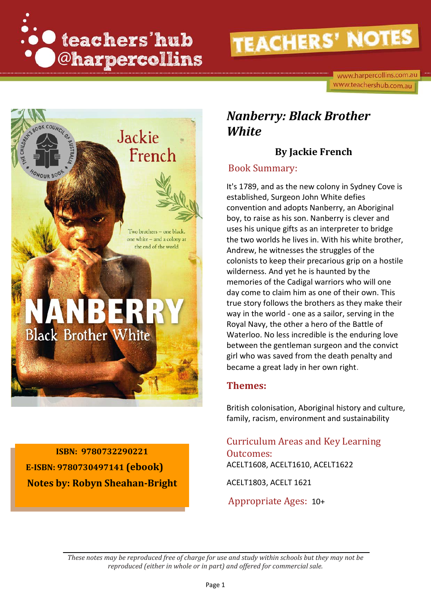

www.harpercollins.com.au www.teachershub.com.au



**ISBN: 9780732290221 E-ISBN: 9780730497141 (ebook) Notes by: Robyn Sheahan-Bright**

### *Nanberry: Black Brother White*

### **By Jackie French**

### Book Summary:

It's 1789, and as the new colony in Sydney Cove is established, Surgeon John White defies convention and adopts Nanberry, an Aboriginal boy, to raise as his son. Nanberry is clever and uses his unique gifts as an interpreter to bridge the two worlds he lives in. With his white brother, Andrew, he witnesses the struggles of the colonists to keep their precarious grip on a hostile wilderness. And yet he is haunted by the memories of the Cadigal warriors who will one day come to claim him as one of their own. This true story follows the brothers as they make their way in the world - one as a sailor, serving in the Royal Navy, the other a hero of the Battle of Waterloo. No less incredible is the enduring love between the gentleman surgeon and the convict girl who was saved from the death penalty and became a great lady in her own right.

### **Themes:**

British colonisation, Aboriginal history and culture, family, racism, environment and sustainability

Curriculum Areas and Key Learning Outcomes: ACELT1608, ACELT1610, ACELT1622

ACELT1803, ACELT 1621

Appropriate Ages: 10+

*These notes may be reproduced free of charge for use and study within schools but they may not be reproduced (either in whole or in part) and offered for commercial sale.*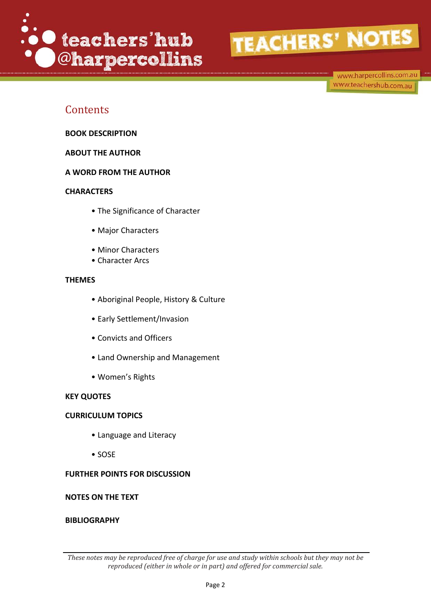

www.harpercollins.com.au www.teachershub.com.au

### **Contents**

**BOOK DESCRIPTION** 

#### **ABOUT THE AUTHOR**

#### **A WORD FROM THE AUTHOR**

#### **CHARACTERS**

- The Significance of Character
- Major Characters
- Minor Characters
- Character Arcs

#### **THEMES**

- Aboriginal People, History & Culture
- Early Settlement/Invasion
- Convicts and Officers
- Land Ownership and Management
- Women's Rights

#### **KEY QUOTES**

#### **CURRICULUM TOPICS**

- Language and Literacy
- SOSE

#### **FURTHER POINTS FOR DISCUSSION**

#### **NOTES ON THE TEXT**

#### **BIBLIOGRAPHY**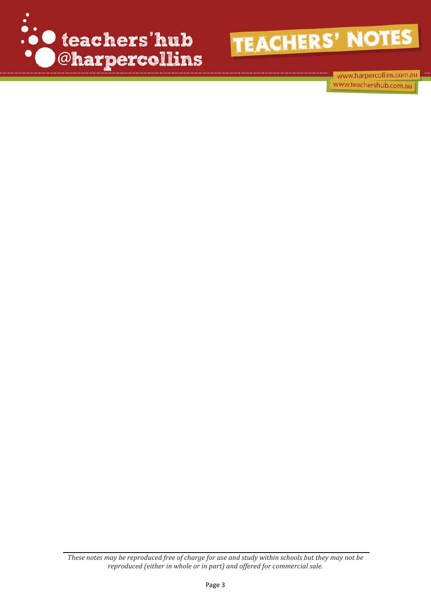

www.harpercollins.com.au www.teachershub.com.au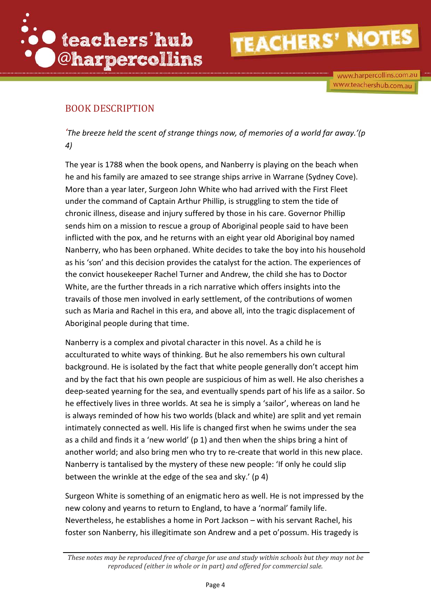

www.harpercollins.com.au www.teachershub.com.au

### BOOK DESCRIPTION

*'The breeze held the scent of strange things now, of memories of a world far away.'(p 4)* 

The year is 1788 when the book opens, and Nanberry is playing on the beach when he and his family are amazed to see strange ships arrive in Warrane (Sydney Cove). More than a year later, Surgeon John White who had arrived with the First Fleet under the command of Captain Arthur Phillip, is struggling to stem the tide of chronic illness, disease and injury suffered by those in his care. Governor Phillip sends him on a mission to rescue a group of Aboriginal people said to have been inflicted with the pox, and he returns with an eight year old Aboriginal boy named Nanberry, who has been orphaned. White decides to take the boy into his household as his 'son' and this decision provides the catalyst for the action. The experiences of the convict housekeeper Rachel Turner and Andrew, the child she has to Doctor White, are the further threads in a rich narrative which offers insights into the travails of those men involved in early settlement, of the contributions of women such as Maria and Rachel in this era, and above all, into the tragic displacement of Aboriginal people during that time.

Nanberry is a complex and pivotal character in this novel. As a child he is acculturated to white ways of thinking. But he also remembers his own cultural background. He is isolated by the fact that white people generally don't accept him and by the fact that his own people are suspicious of him as well. He also cherishes a deep-seated yearning for the sea, and eventually spends part of his life as a sailor. So he effectively lives in three worlds. At sea he is simply a 'sailor', whereas on land he is always reminded of how his two worlds (black and white) are split and yet remain intimately connected as well. His life is changed first when he swims under the sea as a child and finds it a 'new world' ( $p 1$ ) and then when the ships bring a hint of another world; and also bring men who try to re-create that world in this new place. Nanberry is tantalised by the mystery of these new people: 'If only he could slip between the wrinkle at the edge of the sea and sky.' (p 4)

Surgeon White is something of an enigmatic hero as well. He is not impressed by the new colony and yearns to return to England, to have a 'normal' family life. Nevertheless, he establishes a home in Port Jackson – with his servant Rachel, his foster son Nanberry, his illegitimate son Andrew and a pet o'possum. His tragedy is

*These notes may be reproduced free of charge for use and study within schools but they may not be reproduced (either in whole or in part) and offered for commercial sale.*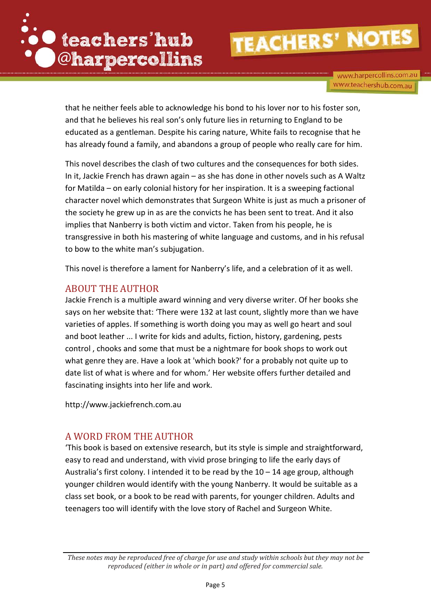

www.harpercollins.com.au www.teachershub.com.au

that he neither feels able to acknowledge his bond to his lover nor to his foster son, and that he believes his real son's only future lies in returning to England to be educated as a gentleman. Despite his caring nature, White fails to recognise that he has already found a family, and abandons a group of people who really care for him.

This novel describes the clash of two cultures and the consequences for both sides. In it, Jackie French has drawn again – as she has done in other novels such as A Waltz for Matilda – on early colonial history for her inspiration. It is a sweeping factional character novel which demonstrates that Surgeon White is just as much a prisoner of the society he grew up in as are the convicts he has been sent to treat. And it also implies that Nanberry is both victim and victor. Taken from his people, he is transgressive in both his mastering of white language and customs, and in his refusal to bow to the white man's subjugation.

This novel is therefore a lament for Nanberry's life, and a celebration of it as well.

### ABOUT THE AUTHOR

Jackie French is a multiple award winning and very diverse writer. Of her books she says on her website that: 'There were 132 at last count, slightly more than we have varieties of apples. If something is worth doing you may as well go heart and soul and boot leather ... I write for kids and adults, fiction, history, gardening, pests control , chooks and some that must be a nightmare for book shops to work out what genre they are. Have a look at 'which book?' for a probably not quite up to date list of what is where and for whom.' Her website offers further detailed and fascinating insights into her life and work.

http://www.jackiefrench.com.au

### A WORD FROM THE AUTHOR

'This book is based on extensive research, but its style is simple and straightforward, easy to read and understand, with vivid prose bringing to life the early days of Australia's first colony. I intended it to be read by the  $10 - 14$  age group, although younger children would identify with the young Nanberry. It would be suitable as a class set book, or a book to be read with parents, for younger children. Adults and teenagers too will identify with the love story of Rachel and Surgeon White.

*These notes may be reproduced free of charge for use and study within schools but they may not be reproduced (either in whole or in part) and offered for commercial sale.*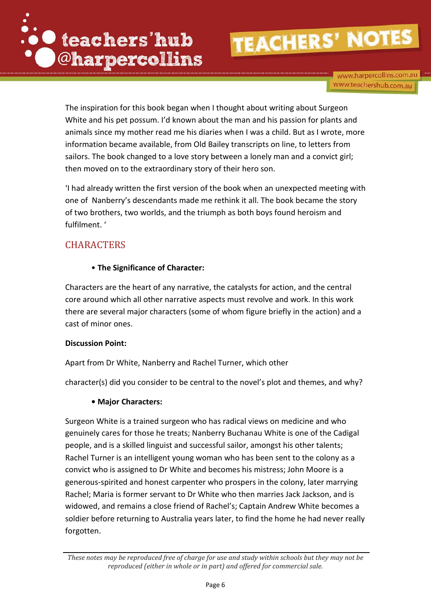

www.harpercollins.com.au www.teachershub.com.au

The inspiration for this book began when I thought about writing about Surgeon White and his pet possum. I'd known about the man and his passion for plants and animals since my mother read me his diaries when I was a child. But as I wrote, more information became available, from Old Bailey transcripts on line, to letters from sailors. The book changed to a love story between a lonely man and a convict girl; then moved on to the extraordinary story of their hero son.

'I had already written the first version of the book when an unexpected meeting with one of Nanberry's descendants made me rethink it all. The book became the story of two brothers, two worlds, and the triumph as both boys found heroism and fulfilment. '

### **CHARACTERS**

### • **The Significance of Character:**

Characters are the heart of any narrative, the catalysts for action, and the central core around which all other narrative aspects must revolve and work. In this work there are several major characters (some of whom figure briefly in the action) and a cast of minor ones.

#### **Discussion Point:**

Apart from Dr White, Nanberry and Rachel Turner, which other

character(s) did you consider to be central to the novel's plot and themes, and why?

### **• Major Characters:**

Surgeon White is a trained surgeon who has radical views on medicine and who genuinely cares for those he treats; Nanberry Buchanau White is one of the Cadigal people, and is a skilled linguist and successful sailor, amongst his other talents; Rachel Turner is an intelligent young woman who has been sent to the colony as a convict who is assigned to Dr White and becomes his mistress; John Moore is a generous-spirited and honest carpenter who prospers in the colony, later marrying Rachel; Maria is former servant to Dr White who then marries Jack Jackson, and is widowed, and remains a close friend of Rachel's; Captain Andrew White becomes a soldier before returning to Australia years later, to find the home he had never really forgotten.

*These notes may be reproduced free of charge for use and study within schools but they may not be reproduced (either in whole or in part) and offered for commercial sale.*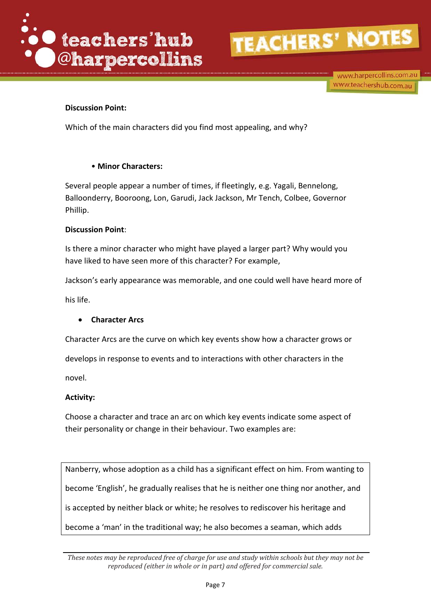

www.harpercollins.com.au www.teachershub.com.au

#### **Discussion Point:**

Which of the main characters did you find most appealing, and why?

#### • **Minor Characters:**

Several people appear a number of times, if fleetingly, e.g. Yagali, Bennelong, Balloonderry, Booroong, Lon, Garudi, Jack Jackson, Mr Tench, Colbee, Governor Phillip.

#### **Discussion Point**:

Is there a minor character who might have played a larger part? Why would you have liked to have seen more of this character? For example,

Jackson's early appearance was memorable, and one could well have heard more of

his life.

#### • **Character Arcs**

Character Arcs are the curve on which key events show how a character grows or

develops in response to events and to interactions with other characters in the

novel.

#### **Activity:**

Choose a character and trace an arc on which key events indicate some aspect of their personality or change in their behaviour. Two examples are:

Nanberry, whose adoption as a child has a significant effect on him. From wanting to become 'English', he gradually realises that he is neither one thing nor another, and is accepted by neither black or white; he resolves to rediscover his heritage and become a 'man' in the traditional way; he also becomes a seaman, which adds

*These notes may be reproduced free of charge for use and study within schools but they may not be reproduced (either in whole or in part) and offered for commercial sale.*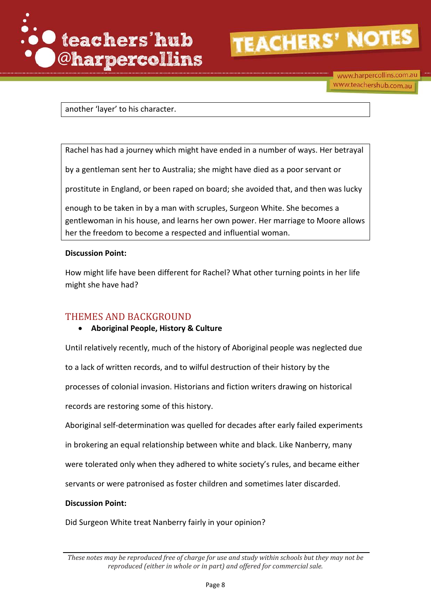

www.harpercollins.com.au www.teachershub.com.au

another 'layer' to his character.

Rachel has had a journey which might have ended in a number of ways. Her betrayal

by a gentleman sent her to Australia; she might have died as a poor servant or

prostitute in England, or been raped on board; she avoided that, and then was lucky

enough to be taken in by a man with scruples, Surgeon White. She becomes a gentlewoman in his house, and learns her own power. Her marriage to Moore allows her the freedom to become a respected and influential woman.

#### **Discussion Point:**

How might life have been different for Rachel? What other turning points in her life might she have had?

#### THEMES AND BACKGROUND

#### • **Aboriginal People, History & Culture**

Until relatively recently, much of the history of Aboriginal people was neglected due

to a lack of written records, and to wilful destruction of their history by the

processes of colonial invasion. Historians and fiction writers drawing on historical

records are restoring some of this history.

Aboriginal self-determination was quelled for decades after early failed experiments

in brokering an equal relationship between white and black. Like Nanberry, many

were tolerated only when they adhered to white society's rules, and became either

servants or were patronised as foster children and sometimes later discarded.

#### **Discussion Point:**

Did Surgeon White treat Nanberry fairly in your opinion?

*These notes may be reproduced free of charge for use and study within schools but they may not be reproduced (either in whole or in part) and offered for commercial sale.*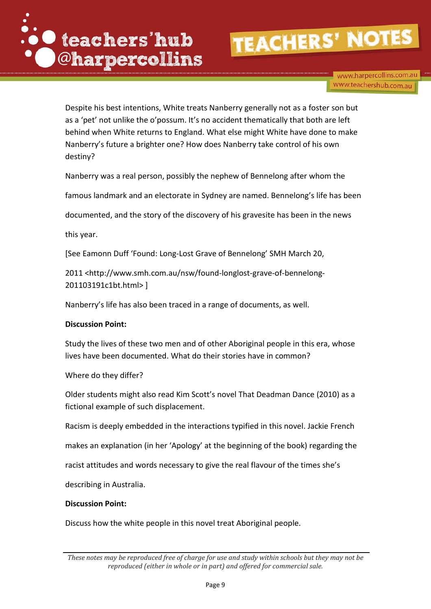

www.harpercollins.com.au www.teachershub.com.au

Despite his best intentions, White treats Nanberry generally not as a foster son but as a 'pet' not unlike the o'possum. It's no accident thematically that both are left behind when White returns to England. What else might White have done to make Nanberry's future a brighter one? How does Nanberry take control of his own destiny?

Nanberry was a real person, possibly the nephew of Bennelong after whom the

famous landmark and an electorate in Sydney are named. Bennelong's life has been

documented, and the story of the discovery of his gravesite has been in the news

this year.

[See Eamonn Duff 'Found: Long-Lost Grave of Bennelong' SMH March 20,

2011 <http://www.smh.com.au/nsw/found-longlost-grave-of-bennelong-201103191c1bt.html> ]

Nanberry's life has also been traced in a range of documents, as well.

#### **Discussion Point:**

Study the lives of these two men and of other Aboriginal people in this era, whose lives have been documented. What do their stories have in common?

Where do they differ?

Older students might also read Kim Scott's novel That Deadman Dance (2010) as a fictional example of such displacement.

Racism is deeply embedded in the interactions typified in this novel. Jackie French

makes an explanation (in her 'Apology' at the beginning of the book) regarding the

racist attitudes and words necessary to give the real flavour of the times she's

describing in Australia.

#### **Discussion Point:**

Discuss how the white people in this novel treat Aboriginal people.

*These notes may be reproduced free of charge for use and study within schools but they may not be reproduced (either in whole or in part) and offered for commercial sale.*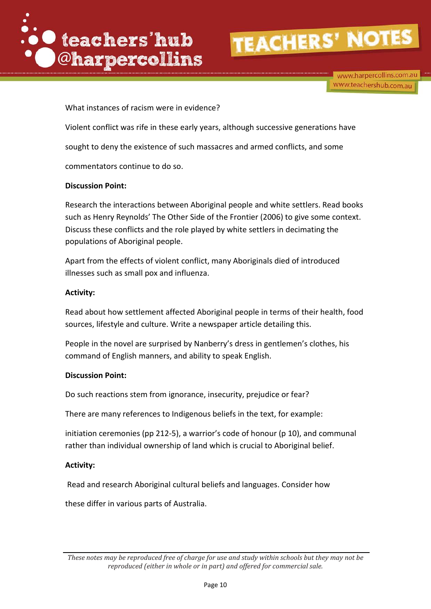

www.harpercollins.com.au www.teachershub.com.au

What instances of racism were in evidence?

Violent conflict was rife in these early years, although successive generations have

sought to deny the existence of such massacres and armed conflicts, and some

commentators continue to do so.

#### **Discussion Point:**

Research the interactions between Aboriginal people and white settlers. Read books such as Henry Reynolds' The Other Side of the Frontier (2006) to give some context. Discuss these conflicts and the role played by white settlers in decimating the populations of Aboriginal people.

Apart from the effects of violent conflict, many Aboriginals died of introduced illnesses such as small pox and influenza.

#### **Activity:**

Read about how settlement affected Aboriginal people in terms of their health, food sources, lifestyle and culture. Write a newspaper article detailing this.

People in the novel are surprised by Nanberry's dress in gentlemen's clothes, his command of English manners, and ability to speak English.

#### **Discussion Point:**

Do such reactions stem from ignorance, insecurity, prejudice or fear?

There are many references to Indigenous beliefs in the text, for example:

initiation ceremonies (pp 212-5), a warrior's code of honour (p 10), and communal rather than individual ownership of land which is crucial to Aboriginal belief.

#### **Activity:**

Read and research Aboriginal cultural beliefs and languages. Consider how

these differ in various parts of Australia.

*These notes may be reproduced free of charge for use and study within schools but they may not be reproduced (either in whole or in part) and offered for commercial sale.*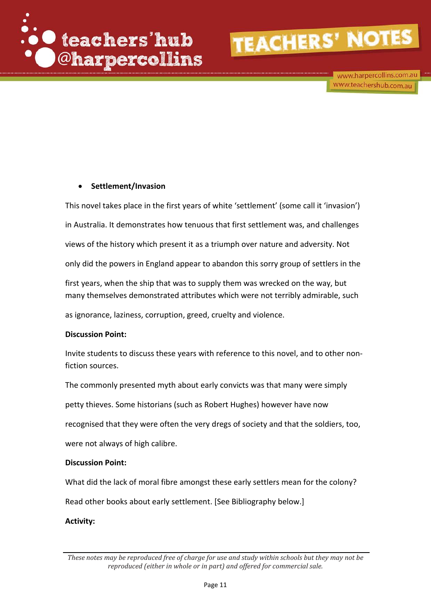

www.harpercollins.com.au www.teachershub.com.au

#### • **Settlement/Invasion**

This novel takes place in the first years of white 'settlement' (some call it 'invasion') in Australia. It demonstrates how tenuous that first settlement was, and challenges views of the history which present it as a triumph over nature and adversity. Not only did the powers in England appear to abandon this sorry group of settlers in the first years, when the ship that was to supply them was wrecked on the way, but many themselves demonstrated attributes which were not terribly admirable, such

as ignorance, laziness, corruption, greed, cruelty and violence.

#### **Discussion Point:**

Invite students to discuss these years with reference to this novel, and to other nonfiction sources.

The commonly presented myth about early convicts was that many were simply petty thieves. Some historians (such as Robert Hughes) however have now recognised that they were often the very dregs of society and that the soldiers, too, were not always of high calibre.

#### **Discussion Point:**

What did the lack of moral fibre amongst these early settlers mean for the colony?

Read other books about early settlement. [See Bibliography below.]

#### **Activity:**

*These notes may be reproduced free of charge for use and study within schools but they may not be reproduced (either in whole or in part) and offered for commercial sale.*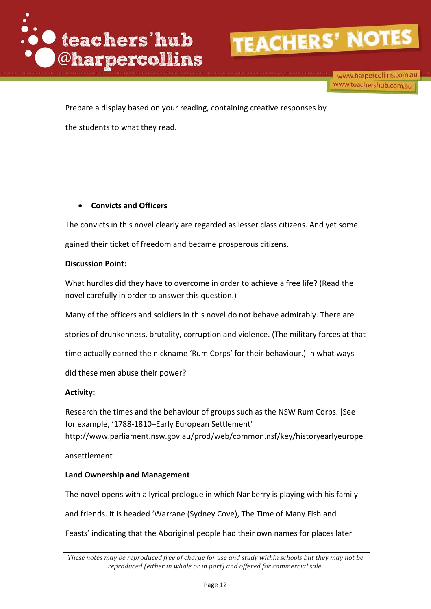

www.harpercollins.com.au www.teachershub.com.au

Prepare a display based on your reading, containing creative responses by the students to what they read.

#### • **Convicts and Officers**

The convicts in this novel clearly are regarded as lesser class citizens. And yet some gained their ticket of freedom and became prosperous citizens.

#### **Discussion Point:**

What hurdles did they have to overcome in order to achieve a free life? (Read the novel carefully in order to answer this question.)

Many of the officers and soldiers in this novel do not behave admirably. There are

stories of drunkenness, brutality, corruption and violence. (The military forces at that

time actually earned the nickname 'Rum Corps' for their behaviour.) In what ways

did these men abuse their power?

#### **Activity:**

Research the times and the behaviour of groups such as the NSW Rum Corps. [See for example, '1788-1810–Early European Settlement' http://www.parliament.nsw.gov.au/prod/web/common.nsf/key/historyearlyeurope

ansettlement

#### **Land Ownership and Management**

The novel opens with a lyrical prologue in which Nanberry is playing with his family

and friends. It is headed 'Warrane (Sydney Cove), The Time of Many Fish and

Feasts' indicating that the Aboriginal people had their own names for places later

*These notes may be reproduced free of charge for use and study within schools but they may not be reproduced (either in whole or in part) and offered for commercial sale.*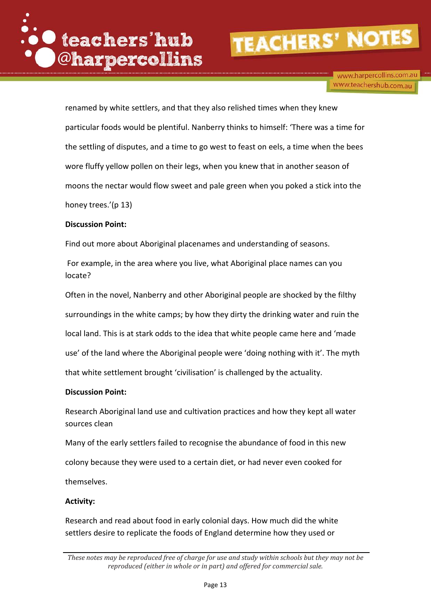

www.harpercollins.com.au www.teachershub.com.au

renamed by white settlers, and that they also relished times when they knew particular foods would be plentiful. Nanberry thinks to himself: 'There was a time for the settling of disputes, and a time to go west to feast on eels, a time when the bees wore fluffy yellow pollen on their legs, when you knew that in another season of moons the nectar would flow sweet and pale green when you poked a stick into the honey trees.'(p 13)

#### **Discussion Point:**

Find out more about Aboriginal placenames and understanding of seasons.

For example, in the area where you live, what Aboriginal place names can you locate?

Often in the novel, Nanberry and other Aboriginal people are shocked by the filthy surroundings in the white camps; by how they dirty the drinking water and ruin the local land. This is at stark odds to the idea that white people came here and 'made use' of the land where the Aboriginal people were 'doing nothing with it'. The myth that white settlement brought 'civilisation' is challenged by the actuality.

#### **Discussion Point:**

Research Aboriginal land use and cultivation practices and how they kept all water sources clean

Many of the early settlers failed to recognise the abundance of food in this new

colony because they were used to a certain diet, or had never even cooked for

themselves.

#### **Activity:**

Research and read about food in early colonial days. How much did the white settlers desire to replicate the foods of England determine how they used or

*These notes may be reproduced free of charge for use and study within schools but they may not be reproduced (either in whole or in part) and offered for commercial sale.*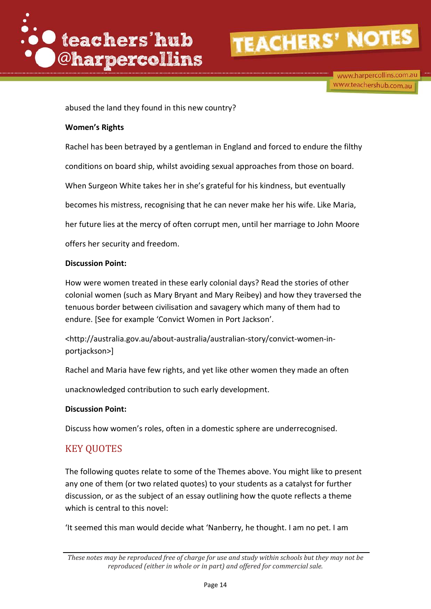

www.harpercollins.com.au www.teachershub.com.au

abused the land they found in this new country?

#### **Women's Rights**

Rachel has been betrayed by a gentleman in England and forced to endure the filthy conditions on board ship, whilst avoiding sexual approaches from those on board. When Surgeon White takes her in she's grateful for his kindness, but eventually becomes his mistress, recognising that he can never make her his wife. Like Maria, her future lies at the mercy of often corrupt men, until her marriage to John Moore offers her security and freedom.

#### **Discussion Point:**

How were women treated in these early colonial days? Read the stories of other colonial women (such as Mary Bryant and Mary Reibey) and how they traversed the tenuous border between civilisation and savagery which many of them had to endure. [See for example 'Convict Women in Port Jackson'.

<http://australia.gov.au/about-australia/australian-story/convict-women-inportjackson>]

Rachel and Maria have few rights, and yet like other women they made an often

unacknowledged contribution to such early development.

#### **Discussion Point:**

Discuss how women's roles, often in a domestic sphere are underrecognised.

### KEY QUOTES

The following quotes relate to some of the Themes above. You might like to present any one of them (or two related quotes) to your students as a catalyst for further discussion, or as the subject of an essay outlining how the quote reflects a theme which is central to this novel:

'It seemed this man would decide what 'Nanberry, he thought. I am no pet. I am

*These notes may be reproduced free of charge for use and study within schools but they may not be reproduced (either in whole or in part) and offered for commercial sale.*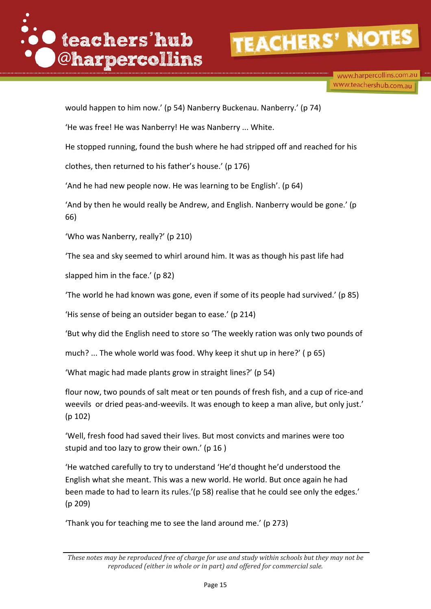

www.harpercollins.com.au www.teachershub.com.au

would happen to him now.' (p 54) Nanberry Buckenau. Nanberry.' (p 74)

'He was free! He was Nanberry! He was Nanberry ... White.

He stopped running, found the bush where he had stripped off and reached for his

clothes, then returned to his father's house.' (p 176)

'And he had new people now. He was learning to be English'. (p 64)

'And by then he would really be Andrew, and English. Nanberry would be gone.' (p 66)

'Who was Nanberry, really?' (p 210)

'The sea and sky seemed to whirl around him. It was as though his past life had

slapped him in the face.' (p 82)

'The world he had known was gone, even if some of its people had survived.' (p 85)

'His sense of being an outsider began to ease.' (p 214)

'But why did the English need to store so 'The weekly ration was only two pounds of

much? ... The whole world was food. Why keep it shut up in here?' (p 65)

'What magic had made plants grow in straight lines?' (p 54)

flour now, two pounds of salt meat or ten pounds of fresh fish, and a cup of rice-and weevils or dried peas-and-weevils. It was enough to keep a man alive, but only just.' (p 102)

'Well, fresh food had saved their lives. But most convicts and marines were too stupid and too lazy to grow their own.' (p 16 )

'He watched carefully to try to understand 'He'd thought he'd understood the English what she meant. This was a new world. He world. But once again he had been made to had to learn its rules.'(p 58) realise that he could see only the edges.' (p 209)

'Thank you for teaching me to see the land around me.' (p 273)

*These notes may be reproduced free of charge for use and study within schools but they may not be reproduced (either in whole or in part) and offered for commercial sale.*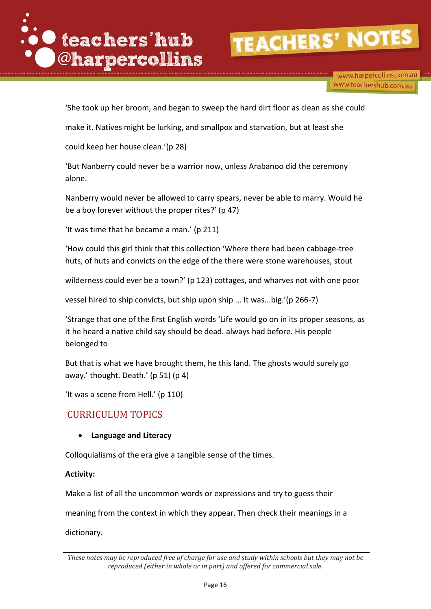

www.harpercollins.com.au www.teachershub.com.au

'She took up her broom, and began to sweep the hard dirt floor as clean as she could

make it. Natives might be lurking, and smallpox and starvation, but at least she

could keep her house clean.'(p 28)

'But Nanberry could never be a warrior now, unless Arabanoo did the ceremony alone.

Nanberry would never be allowed to carry spears, never be able to marry. Would he be a boy forever without the proper rites?' (p 47)

'It was time that he became a man.' (p 211)

'How could this girl think that this collection 'Where there had been cabbage-tree huts, of huts and convicts on the edge of the there were stone warehouses, stout

wilderness could ever be a town?' (p 123) cottages, and wharves not with one poor

vessel hired to ship convicts, but ship upon ship ... It was...big.'(p 266-7)

'Strange that one of the first English words 'Life would go on in its proper seasons, as it he heard a native child say should be dead. always had before. His people belonged to

But that is what we have brought them, he this land. The ghosts would surely go away.' thought. Death.' (p 51) (p 4)

'It was a scene from Hell.' (p 110)

### CURRICULUM TOPICS

#### • **Language and Literacy**

Colloquialisms of the era give a tangible sense of the times.

#### **Activity:**

Make a list of all the uncommon words or expressions and try to guess their

meaning from the context in which they appear. Then check their meanings in a

dictionary.

*These notes may be reproduced free of charge for use and study within schools but they may not be reproduced (either in whole or in part) and offered for commercial sale.*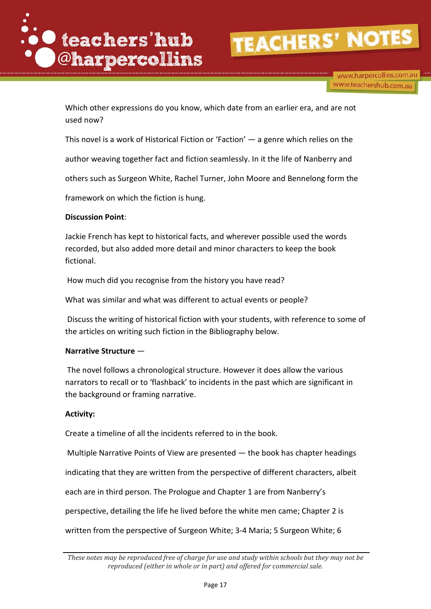

www.harpercollins.com.au www.teachershub.com.au

Which other expressions do you know, which date from an earlier era, and are not used now?

This novel is a work of Historical Fiction or 'Faction' — a genre which relies on the

author weaving together fact and fiction seamlessly. In it the life of Nanberry and

others such as Surgeon White, Rachel Turner, John Moore and Bennelong form the

framework on which the fiction is hung.

#### **Discussion Point**:

Jackie French has kept to historical facts, and wherever possible used the words recorded, but also added more detail and minor characters to keep the book fictional.

How much did you recognise from the history you have read?

What was similar and what was different to actual events or people?

Discuss the writing of historical fiction with your students, with reference to some of the articles on writing such fiction in the Bibliography below.

#### **Narrative Structure** —

The novel follows a chronological structure. However it does allow the various narrators to recall or to 'flashback' to incidents in the past which are significant in the background or framing narrative.

#### **Activity:**

Create a timeline of all the incidents referred to in the book.

Multiple Narrative Points of View are presented — the book has chapter headings

indicating that they are written from the perspective of different characters, albeit

each are in third person. The Prologue and Chapter 1 are from Nanberry's

perspective, detailing the life he lived before the white men came; Chapter 2 is

written from the perspective of Surgeon White; 3-4 Maria; 5 Surgeon White; 6

*These notes may be reproduced free of charge for use and study within schools but they may not be reproduced (either in whole or in part) and offered for commercial sale.*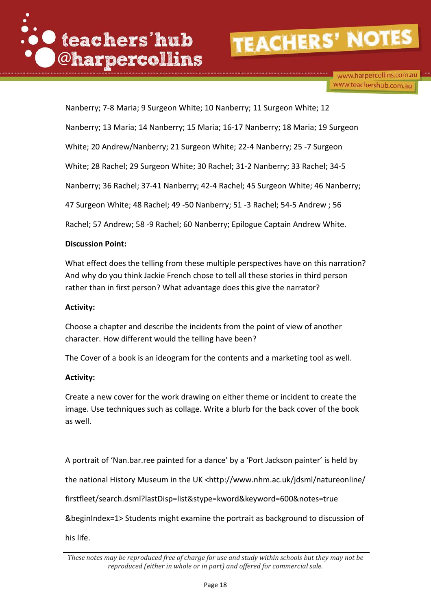

www.harpercollins.com.au www.teachershub.com.au

Nanberry; 7-8 Maria; 9 Surgeon White; 10 Nanberry; 11 Surgeon White; 12 Nanberry; 13 Maria; 14 Nanberry; 15 Maria; 16-17 Nanberry; 18 Maria; 19 Surgeon White; 20 Andrew/Nanberry; 21 Surgeon White; 22-4 Nanberry; 25 -7 Surgeon White; 28 Rachel; 29 Surgeon White; 30 Rachel; 31-2 Nanberry; 33 Rachel; 34-5 Nanberry; 36 Rachel; 37-41 Nanberry; 42-4 Rachel; 45 Surgeon White; 46 Nanberry; 47 Surgeon White; 48 Rachel; 49 -50 Nanberry; 51 -3 Rachel; 54-5 Andrew ; 56 Rachel; 57 Andrew; 58 -9 Rachel; 60 Nanberry; Epilogue Captain Andrew White.

### **Discussion Point:**

What effect does the telling from these multiple perspectives have on this narration? And why do you think Jackie French chose to tell all these stories in third person rather than in first person? What advantage does this give the narrator?

#### **Activity:**

Choose a chapter and describe the incidents from the point of view of another character. How different would the telling have been?

The Cover of a book is an ideogram for the contents and a marketing tool as well.

#### **Activity:**

Create a new cover for the work drawing on either theme or incident to create the image. Use techniques such as collage. Write a blurb for the back cover of the book as well.

A portrait of 'Nan.bar.ree painted for a dance' by a 'Port Jackson painter' is held by the national History Museum in the UK <http://www.nhm.ac.uk/jdsml/natureonline/ firstfleet/search.dsml?lastDisp=list&stype=kword&keyword=600&notes=true &beginIndex=1> Students might examine the portrait as background to discussion of his life.

*These notes may be reproduced free of charge for use and study within schools but they may not be reproduced (either in whole or in part) and offered for commercial sale.*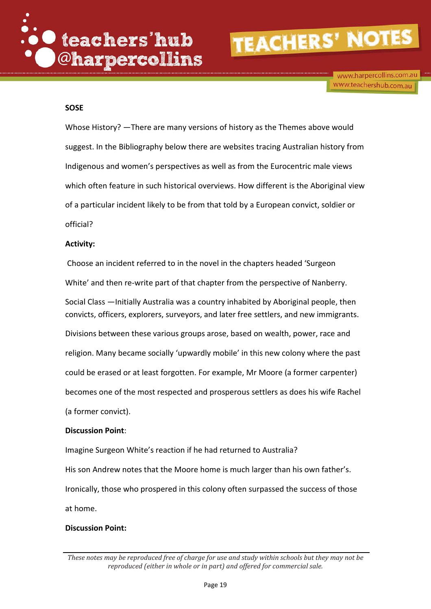

www.harpercollins.com.au www.teachershub.com.au

#### **SOSE**

Whose History? —There are many versions of history as the Themes above would suggest. In the Bibliography below there are websites tracing Australian history from Indigenous and women's perspectives as well as from the Eurocentric male views which often feature in such historical overviews. How different is the Aboriginal view of a particular incident likely to be from that told by a European convict, soldier or official?

#### **Activity:**

Choose an incident referred to in the novel in the chapters headed 'Surgeon White' and then re-write part of that chapter from the perspective of Nanberry. Social Class —Initially Australia was a country inhabited by Aboriginal people, then convicts, officers, explorers, surveyors, and later free settlers, and new immigrants. Divisions between these various groups arose, based on wealth, power, race and religion. Many became socially 'upwardly mobile' in this new colony where the past could be erased or at least forgotten. For example, Mr Moore (a former carpenter) becomes one of the most respected and prosperous settlers as does his wife Rachel (a former convict).

#### **Discussion Point**:

Imagine Surgeon White's reaction if he had returned to Australia? His son Andrew notes that the Moore home is much larger than his own father's. Ironically, those who prospered in this colony often surpassed the success of those at home.

#### **Discussion Point:**

*These notes may be reproduced free of charge for use and study within schools but they may not be reproduced (either in whole or in part) and offered for commercial sale.*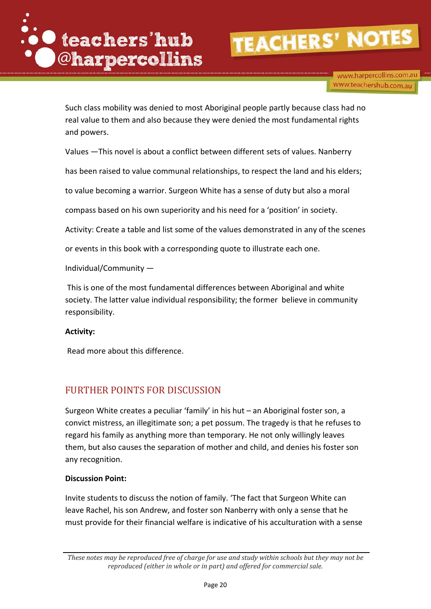

www.harpercollins.com.au www.teachershub.com.au

Such class mobility was denied to most Aboriginal people partly because class had no real value to them and also because they were denied the most fundamental rights and powers.

Values —This novel is about a conflict between different sets of values. Nanberry

has been raised to value communal relationships, to respect the land and his elders;

to value becoming a warrior. Surgeon White has a sense of duty but also a moral

compass based on his own superiority and his need for a 'position' in society.

Activity: Create a table and list some of the values demonstrated in any of the scenes

or events in this book with a corresponding quote to illustrate each one.

Individual/Community —

This is one of the most fundamental differences between Aboriginal and white society. The latter value individual responsibility; the former believe in community responsibility.

#### **Activity:**

Read more about this difference.

### FURTHER POINTS FOR DISCUSSION

Surgeon White creates a peculiar 'family' in his hut – an Aboriginal foster son, a convict mistress, an illegitimate son; a pet possum. The tragedy is that he refuses to regard his family as anything more than temporary. He not only willingly leaves them, but also causes the separation of mother and child, and denies his foster son any recognition.

#### **Discussion Point:**

Invite students to discuss the notion of family. 'The fact that Surgeon White can leave Rachel, his son Andrew, and foster son Nanberry with only a sense that he must provide for their financial welfare is indicative of his acculturation with a sense

*These notes may be reproduced free of charge for use and study within schools but they may not be reproduced (either in whole or in part) and offered for commercial sale.*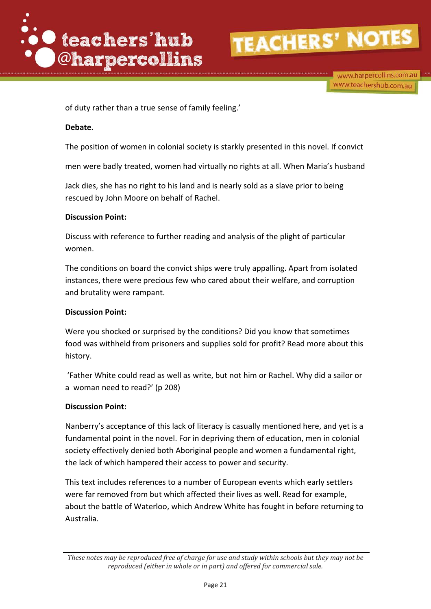

www.harpercollins.com.au www.teachershub.com.au

of duty rather than a true sense of family feeling.'

#### **Debate.**

The position of women in colonial society is starkly presented in this novel. If convict

men were badly treated, women had virtually no rights at all. When Maria's husband

Jack dies, she has no right to his land and is nearly sold as a slave prior to being rescued by John Moore on behalf of Rachel.

#### **Discussion Point:**

Discuss with reference to further reading and analysis of the plight of particular women.

The conditions on board the convict ships were truly appalling. Apart from isolated instances, there were precious few who cared about their welfare, and corruption and brutality were rampant.

#### **Discussion Point:**

Were you shocked or surprised by the conditions? Did you know that sometimes food was withheld from prisoners and supplies sold for profit? Read more about this history.

'Father White could read as well as write, but not him or Rachel. Why did a sailor or a woman need to read?' (p 208)

#### **Discussion Point:**

Nanberry's acceptance of this lack of literacy is casually mentioned here, and yet is a fundamental point in the novel. For in depriving them of education, men in colonial society effectively denied both Aboriginal people and women a fundamental right, the lack of which hampered their access to power and security.

This text includes references to a number of European events which early settlers were far removed from but which affected their lives as well. Read for example, about the battle of Waterloo, which Andrew White has fought in before returning to Australia.

*These notes may be reproduced free of charge for use and study within schools but they may not be reproduced (either in whole or in part) and offered for commercial sale.*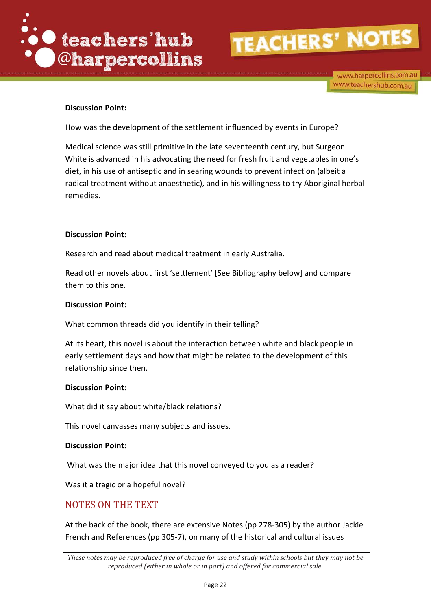

www.harpercollins.com.au www.teachershub.com.au

#### **Discussion Point:**

How was the development of the settlement influenced by events in Europe?

Medical science was still primitive in the late seventeenth century, but Surgeon White is advanced in his advocating the need for fresh fruit and vegetables in one's diet, in his use of antiseptic and in searing wounds to prevent infection (albeit a radical treatment without anaesthetic), and in his willingness to try Aboriginal herbal remedies.

#### **Discussion Point:**

Research and read about medical treatment in early Australia.

Read other novels about first 'settlement' [See Bibliography below] and compare them to this one.

#### **Discussion Point:**

What common threads did you identify in their telling?

At its heart, this novel is about the interaction between white and black people in early settlement days and how that might be related to the development of this relationship since then.

#### **Discussion Point:**

What did it say about white/black relations?

This novel canvasses many subjects and issues.

#### **Discussion Point:**

What was the major idea that this novel conveyed to you as a reader?

Was it a tragic or a hopeful novel?

#### NOTES ON THE TEXT

At the back of the book, there are extensive Notes (pp 278-305) by the author Jackie French and References (pp 305-7), on many of the historical and cultural issues

*These notes may be reproduced free of charge for use and study within schools but they may not be reproduced (either in whole or in part) and offered for commercial sale.*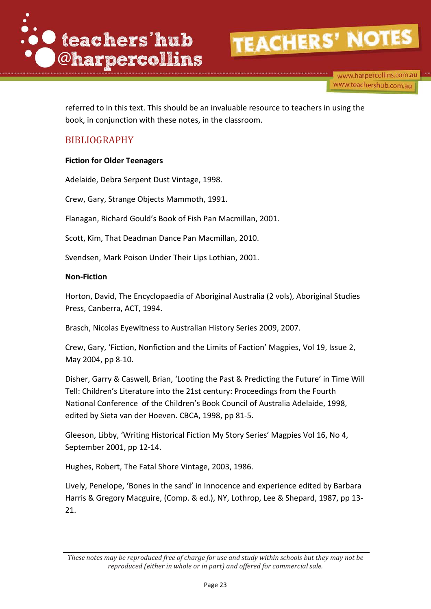

www.harpercollins.com.au www.teachershub.com.au

referred to in this text. This should be an invaluable resource to teachers in using the book, in conjunction with these notes, in the classroom.

### BIBLIOGRAPHY

#### **Fiction for Older Teenagers**

Adelaide, Debra Serpent Dust Vintage, 1998.

Crew, Gary, Strange Objects Mammoth, 1991.

Flanagan, Richard Gould's Book of Fish Pan Macmillan, 2001.

Scott, Kim, That Deadman Dance Pan Macmillan, 2010.

Svendsen, Mark Poison Under Their Lips Lothian, 2001.

#### **Non-Fiction**

Horton, David, The Encyclopaedia of Aboriginal Australia (2 vols), Aboriginal Studies Press, Canberra, ACT, 1994.

Brasch, Nicolas Eyewitness to Australian History Series 2009, 2007.

Crew, Gary, 'Fiction, Nonfiction and the Limits of Faction' Magpies, Vol 19, Issue 2, May 2004, pp 8-10.

Disher, Garry & Caswell, Brian, 'Looting the Past & Predicting the Future' in Time Will Tell: Children's Literature into the 21st century: Proceedings from the Fourth National Conference of the Children's Book Council of Australia Adelaide, 1998, edited by Sieta van der Hoeven. CBCA, 1998, pp 81-5.

Gleeson, Libby, 'Writing Historical Fiction My Story Series' Magpies Vol 16, No 4, September 2001, pp 12-14.

Hughes, Robert, The Fatal Shore Vintage, 2003, 1986.

Lively, Penelope, 'Bones in the sand' in Innocence and experience edited by Barbara Harris & Gregory Macguire, (Comp. & ed.), NY, Lothrop, Lee & Shepard, 1987, pp 13- 21.

*These notes may be reproduced free of charge for use and study within schools but they may not be reproduced (either in whole or in part) and offered for commercial sale.*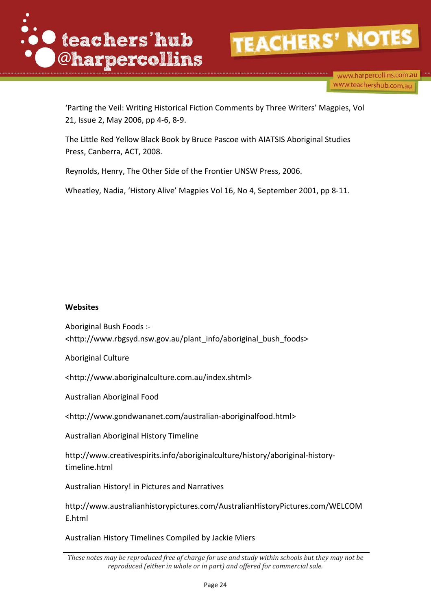

www.harpercollins.com.au www.teachershub.com.au

'Parting the Veil: Writing Historical Fiction Comments by Three Writers' Magpies, Vol 21, Issue 2, May 2006, pp 4-6, 8-9.

The Little Red Yellow Black Book by Bruce Pascoe with AIATSIS Aboriginal Studies Press, Canberra, ACT, 2008.

Reynolds, Henry, The Other Side of the Frontier UNSW Press, 2006.

Wheatley, Nadia, 'History Alive' Magpies Vol 16, No 4, September 2001, pp 8-11.

#### **Websites**

Aboriginal Bush Foods :- <http://www.rbgsyd.nsw.gov.au/plant\_info/aboriginal\_bush\_foods>

Aboriginal Culture

<http://www.aboriginalculture.com.au/index.shtml>

Australian Aboriginal Food

<http://www.gondwananet.com/australian-aboriginalfood.html>

Australian Aboriginal History Timeline

http://www.creativespirits.info/aboriginalculture/history/aboriginal-historytimeline.html

Australian History! in Pictures and Narratives

http://www.australianhistorypictures.com/AustralianHistoryPictures.com/WELCOM E.html

Australian History Timelines Compiled by Jackie Miers

*These notes may be reproduced free of charge for use and study within schools but they may not be reproduced (either in whole or in part) and offered for commercial sale.*